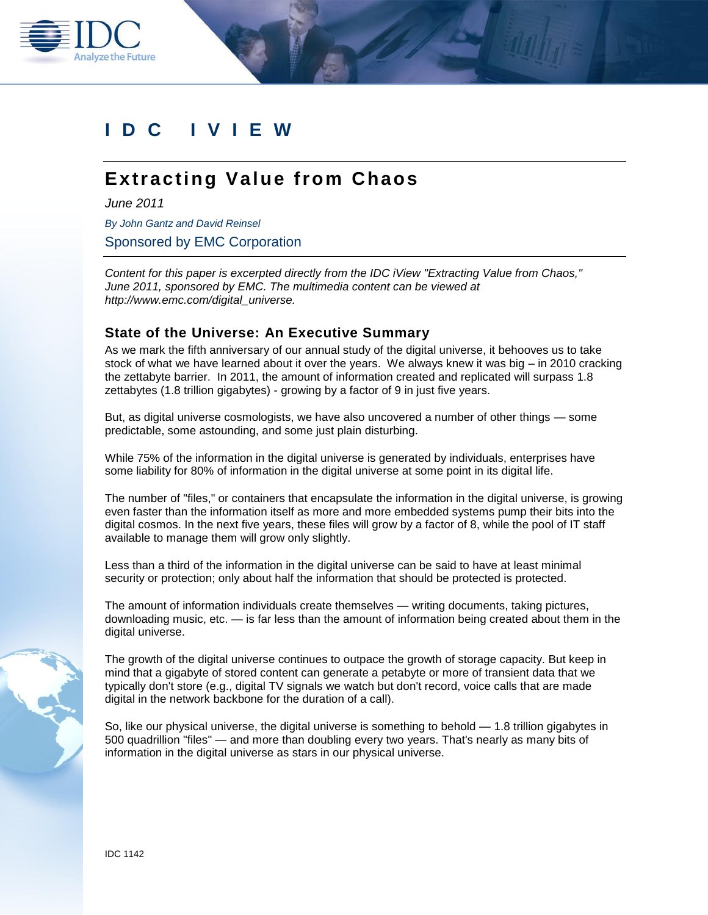

# **IDC I V I E W**

# **Extracting Value from Chaos**

*June 2011*

*By John Gantz and David Reinsel*

Sponsored by EMC Corporation

*Content for this paper is excerpted directly from the IDC iView "Extracting Value from Chaos," June 2011, sponsored by EMC. The multimedia content can be viewed at http://www.emc.com/digital\_universe.* 

## **State of the Universe: An Executive Summary**

As we mark the fifth anniversary of our annual study of the digital universe, it behooves us to take stock of what we have learned about it over the years. We always knew it was big – in 2010 cracking the zettabyte barrier. In 2011, the amount of information created and replicated will surpass 1.8 zettabytes (1.8 trillion gigabytes) - growing by a factor of 9 in just five years.

But, as digital universe cosmologists, we have also uncovered a number of other things — some predictable, some astounding, and some just plain disturbing.

While 75% of the information in the digital universe is generated by individuals, enterprises have some liability for 80% of information in the digital universe at some point in its digital life.

The number of "files," or containers that encapsulate the information in the digital universe, is growing even faster than the information itself as more and more embedded systems pump their bits into the digital cosmos. In the next five years, these files will grow by a factor of 8, while the pool of IT staff available to manage them will grow only slightly.

Less than a third of the information in the digital universe can be said to have at least minimal security or protection; only about half the information that should be protected is protected.

The amount of information individuals create themselves — writing documents, taking pictures, downloading music, etc. — is far less than the amount of information being created about them in the digital universe.

The growth of the digital universe continues to outpace the growth of storage capacity. But keep in mind that a gigabyte of stored content can generate a petabyte or more of transient data that we typically don't store (e.g., digital TV signals we watch but don't record, voice calls that are made digital in the network backbone for the duration of a call).

So, like our physical universe, the digital universe is something to behold — 1.8 trillion gigabytes in 500 quadrillion "files" — and more than doubling every two years. That's nearly as many bits of information in the digital universe as stars in our physical universe.

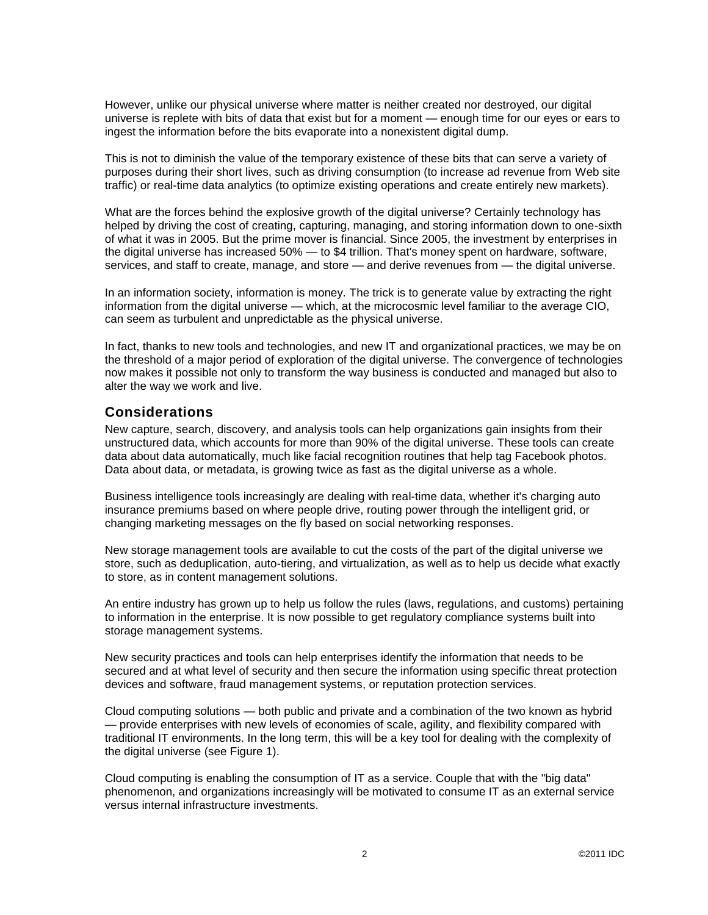However, unlike our physical universe where matter is neither created nor destroyed, our digital universe is replete with bits of data that exist but for a moment — enough time for our eyes or ears to ingest the information before the bits evaporate into a nonexistent digital dump.

This is not to diminish the value of the temporary existence of these bits that can serve a variety of purposes during their short lives, such as driving consumption (to increase ad revenue from Web site traffic) or real-time data analytics (to optimize existing operations and create entirely new markets).

What are the forces behind the explosive growth of the digital universe? Certainly technology has helped by driving the cost of creating, capturing, managing, and storing information down to one-sixth of what it was in 2005. But the prime mover is financial. Since 2005, the investment by enterprises in the digital universe has increased 50% — to \$4 trillion. That's money spent on hardware, software, services, and staff to create, manage, and store — and derive revenues from — the digital universe.

In an information society, information is money. The trick is to generate value by extracting the right information from the digital universe — which, at the microcosmic level familiar to the average CIO, can seem as turbulent and unpredictable as the physical universe.

In fact, thanks to new tools and technologies, and new IT and organizational practices, we may be on the threshold of a major period of exploration of the digital universe. The convergence of technologies now makes it possible not only to transform the way business is conducted and managed but also to alter the way we work and live.

## **Considerations**

New capture, search, discovery, and analysis tools can help organizations gain insights from their unstructured data, which accounts for more than 90% of the digital universe. These tools can create data about data automatically, much like facial recognition routines that help tag Facebook photos. Data about data, or metadata, is growing twice as fast as the digital universe as a whole.

Business intelligence tools increasingly are dealing with real-time data, whether it's charging auto insurance premiums based on where people drive, routing power through the intelligent grid, or changing marketing messages on the fly based on social networking responses.

New storage management tools are available to cut the costs of the part of the digital universe we store, such as deduplication, auto-tiering, and virtualization, as well as to help us decide what exactly to store, as in content management solutions.

An entire industry has grown up to help us follow the rules (laws, regulations, and customs) pertaining to information in the enterprise. It is now possible to get regulatory compliance systems built into storage management systems.

New security practices and tools can help enterprises identify the information that needs to be secured and at what level of security and then secure the information using specific threat protection devices and software, fraud management systems, or reputation protection services.

Cloud computing solutions — both public and private and a combination of the two known as hybrid — provide enterprises with new levels of economies of scale, agility, and flexibility compared with traditional IT environments. In the long term, this will be a key tool for dealing with the complexity of the digital universe (see Figure 1).

Cloud computing is enabling the consumption of IT as a service. Couple that with the "big data" phenomenon, and organizations increasingly will be motivated to consume IT as an external service versus internal infrastructure investments.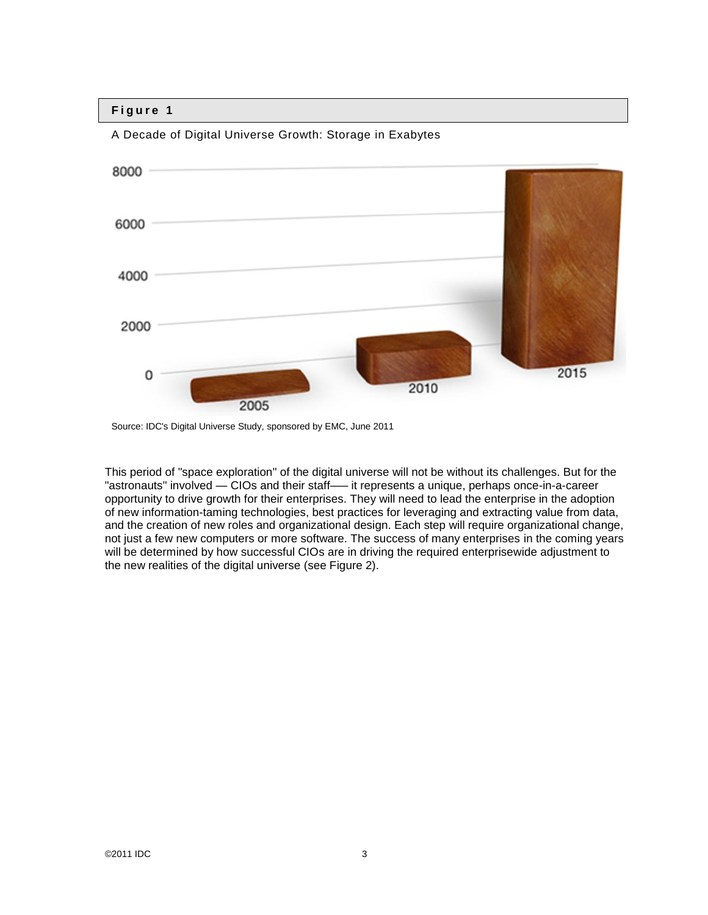

A Decade of Digital Universe Growth: Storage in Exabytes

This period of "space exploration" of the digital universe will not be without its challenges. But for the "astronauts" involved — CIOs and their staff—– it represents a unique, perhaps once-in-a-career opportunity to drive growth for their enterprises. They will need to lead the enterprise in the adoption of new information-taming technologies, best practices for leveraging and extracting value from data, and the creation of new roles and organizational design. Each step will require organizational change, not just a few new computers or more software. The success of many enterprises in the coming years will be determined by how successful CIOs are in driving the required enterprisewide adjustment to the new realities of the digital universe (see Figure 2).

Source: IDC's Digital Universe Study, sponsored by EMC, June 2011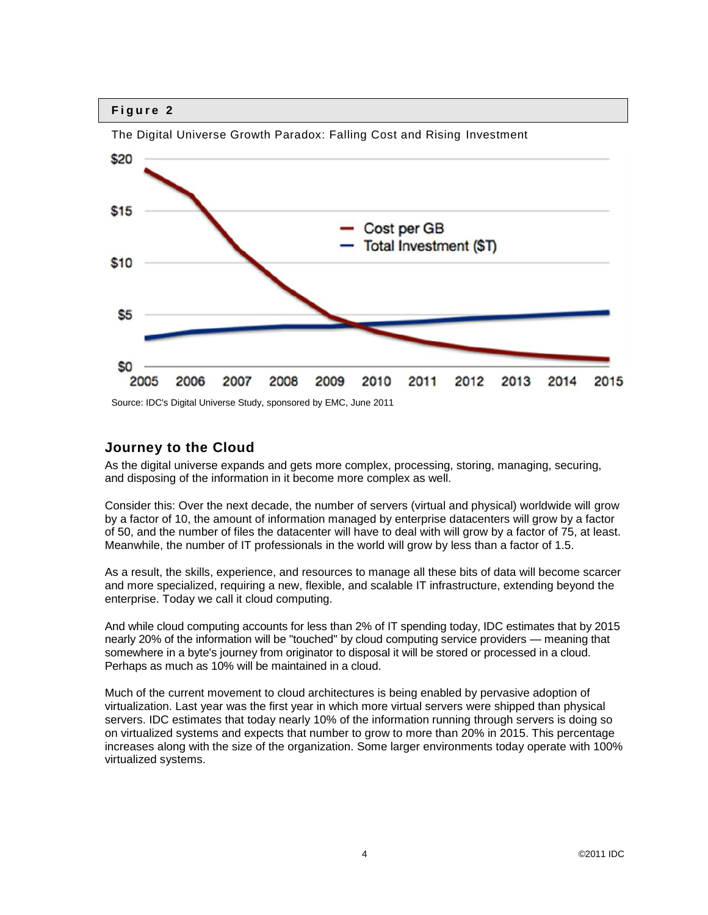

The Digital Universe Growth Paradox: Falling Cost and Rising Investment

Source: IDC's Digital Universe Study, sponsored by EMC, June 2011

## **Journey to the Cloud**

As the digital universe expands and gets more complex, processing, storing, managing, securing, and disposing of the information in it become more complex as well.

Consider this: Over the next decade, the number of servers (virtual and physical) worldwide will grow by a factor of 10, the amount of information managed by enterprise datacenters will grow by a factor of 50, and the number of files the datacenter will have to deal with will grow by a factor of 75, at least. Meanwhile, the number of IT professionals in the world will grow by less than a factor of 1.5.

As a result, the skills, experience, and resources to manage all these bits of data will become scarcer and more specialized, requiring a new, flexible, and scalable IT infrastructure, extending beyond the enterprise. Today we call it cloud computing.

And while cloud computing accounts for less than 2% of IT spending today, IDC estimates that by 2015 nearly 20% of the information will be "touched" by cloud computing service providers — meaning that somewhere in a byte's journey from originator to disposal it will be stored or processed in a cloud. Perhaps as much as 10% will be maintained in a cloud.

Much of the current movement to cloud architectures is being enabled by pervasive adoption of virtualization. Last year was the first year in which more virtual servers were shipped than physical servers. IDC estimates that today nearly 10% of the information running through servers is doing so on virtualized systems and expects that number to grow to more than 20% in 2015. This percentage increases along with the size of the organization. Some larger environments today operate with 100% virtualized systems.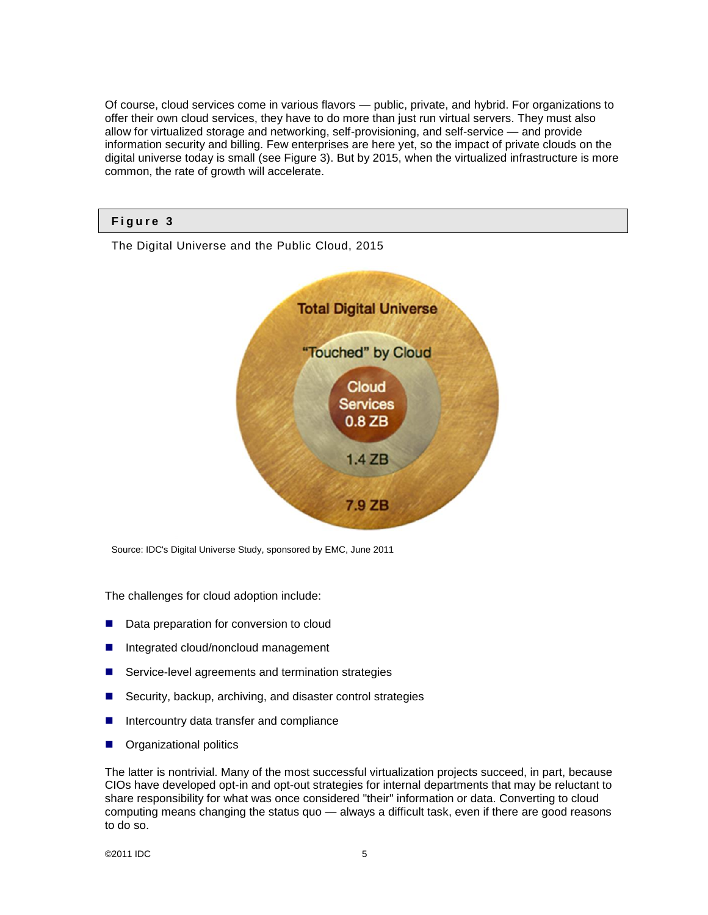Of course, cloud services come in various flavors — public, private, and hybrid. For organizations to offer their own cloud services, they have to do more than just run virtual servers. They must also allow for virtualized storage and networking, self-provisioning, and self-service — and provide information security and billing. Few enterprises are here yet, so the impact of private clouds on the digital universe today is small (see Figure 3). But by 2015, when the virtualized infrastructure is more common, the rate of growth will accelerate.

## **F i g u r e 3**

The Digital Universe and the Public Cloud, 2015



Source: IDC's Digital Universe Study, sponsored by EMC, June 2011

The challenges for cloud adoption include:

- Data preparation for conversion to cloud
- Integrated cloud/noncloud management
- Service-level agreements and termination strategies
- Security, backup, archiving, and disaster control strategies
- Intercountry data transfer and compliance
- Organizational politics

The latter is nontrivial. Many of the most successful virtualization projects succeed, in part, because CIOs have developed opt-in and opt-out strategies for internal departments that may be reluctant to share responsibility for what was once considered "their" information or data. Converting to cloud computing means changing the status quo — always a difficult task, even if there are good reasons to do so.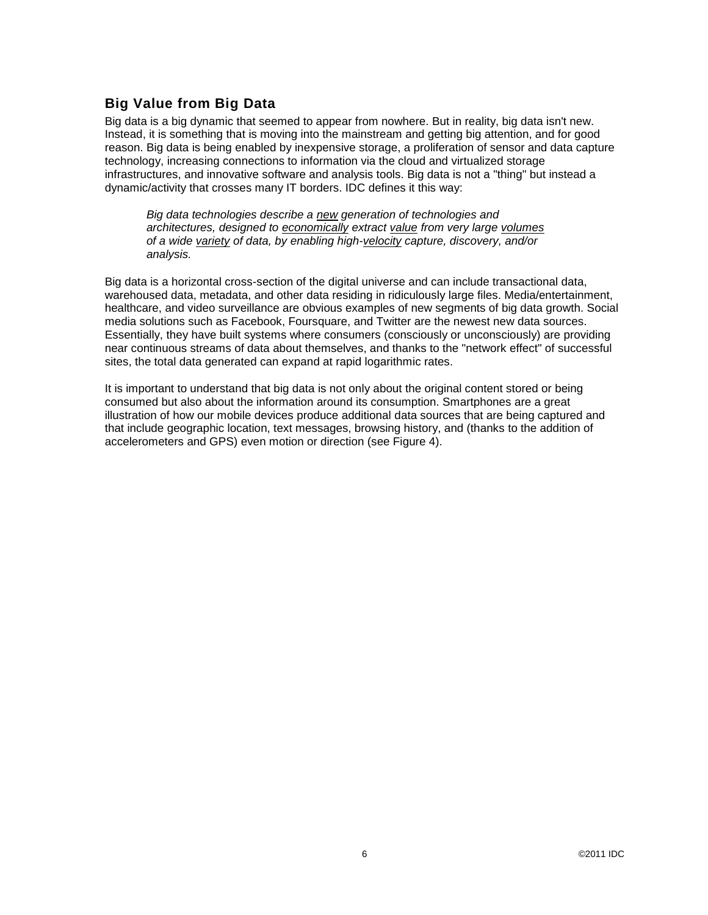## **Big Value from Big Data**

Big data is a big dynamic that seemed to appear from nowhere. But in reality, big data isn't new. Instead, it is something that is moving into the mainstream and getting big attention, and for good reason. Big data is being enabled by inexpensive storage, a proliferation of sensor and data capture technology, increasing connections to information via the cloud and virtualized storage infrastructures, and innovative software and analysis tools. Big data is not a "thing" but instead a dynamic/activity that crosses many IT borders. IDC defines it this way:

*Big data technologies describe a new generation of technologies and architectures, designed to economically extract value from very large volumes of a wide variety of data, by enabling high-velocity capture, discovery, and/or analysis.*

Big data is a horizontal cross-section of the digital universe and can include transactional data, warehoused data, metadata, and other data residing in ridiculously large files. Media/entertainment, healthcare, and video surveillance are obvious examples of new segments of big data growth. Social media solutions such as Facebook, Foursquare, and Twitter are the newest new data sources. Essentially, they have built systems where consumers (consciously or unconsciously) are providing near continuous streams of data about themselves, and thanks to the "network effect" of successful sites, the total data generated can expand at rapid logarithmic rates.

It is important to understand that big data is not only about the original content stored or being consumed but also about the information around its consumption. Smartphones are a great illustration of how our mobile devices produce additional data sources that are being captured and that include geographic location, text messages, browsing history, and (thanks to the addition of accelerometers and GPS) even motion or direction (see Figure 4).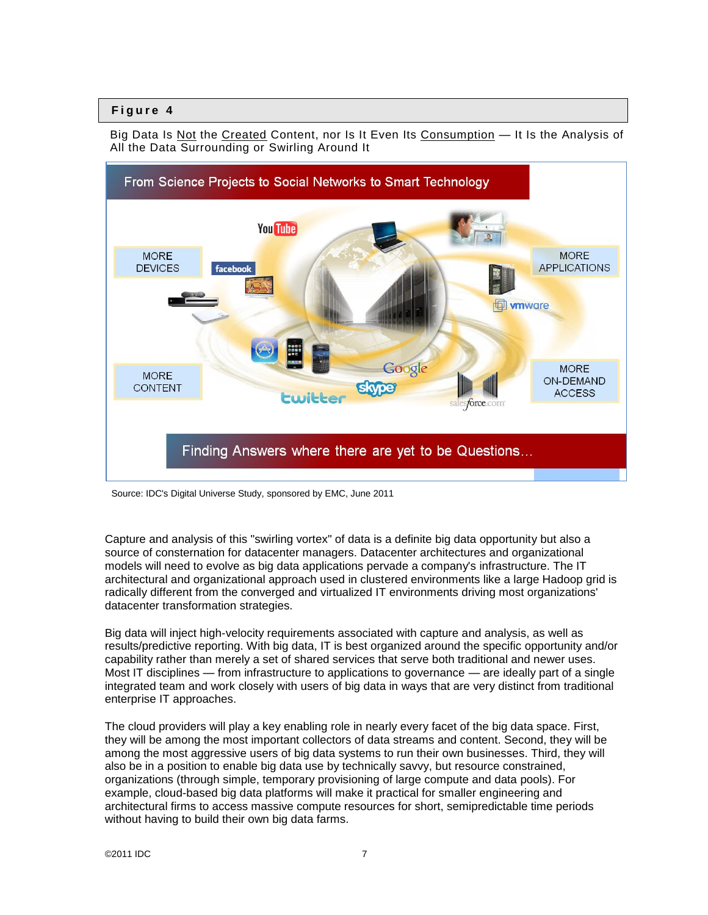Big Data Is Not the Created Content, nor Is It Even Its Consumption — It Is the Analysis of All the Data Surrounding or Swirling Around It



Source: IDC's Digital Universe Study, sponsored by EMC, June 2011

Capture and analysis of this "swirling vortex" of data is a definite big data opportunity but also a source of consternation for datacenter managers. Datacenter architectures and organizational models will need to evolve as big data applications pervade a company's infrastructure. The IT architectural and organizational approach used in clustered environments like a large Hadoop grid is radically different from the converged and virtualized IT environments driving most organizations' datacenter transformation strategies.

Big data will inject high-velocity requirements associated with capture and analysis, as well as results/predictive reporting. With big data, IT is best organized around the specific opportunity and/or capability rather than merely a set of shared services that serve both traditional and newer uses. Most IT disciplines — from infrastructure to applications to governance — are ideally part of a single integrated team and work closely with users of big data in ways that are very distinct from traditional enterprise IT approaches.

The cloud providers will play a key enabling role in nearly every facet of the big data space. First, they will be among the most important collectors of data streams and content. Second, they will be among the most aggressive users of big data systems to run their own businesses. Third, they will also be in a position to enable big data use by technically savvy, but resource constrained, organizations (through simple, temporary provisioning of large compute and data pools). For example, cloud-based big data platforms will make it practical for smaller engineering and architectural firms to access massive compute resources for short, semipredictable time periods without having to build their own big data farms.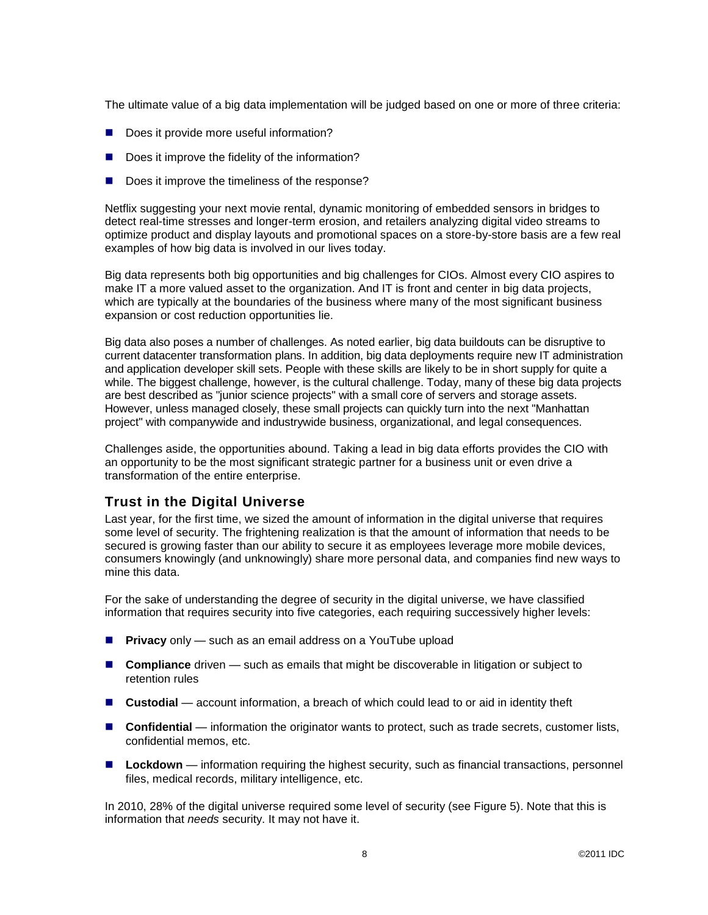The ultimate value of a big data implementation will be judged based on one or more of three criteria:

- Does it provide more useful information?
- Does it improve the fidelity of the information?
- Does it improve the timeliness of the response?

Netflix suggesting your next movie rental, dynamic monitoring of embedded sensors in bridges to detect real-time stresses and longer-term erosion, and retailers analyzing digital video streams to optimize product and display layouts and promotional spaces on a store-by-store basis are a few real examples of how big data is involved in our lives today.

Big data represents both big opportunities and big challenges for CIOs. Almost every CIO aspires to make IT a more valued asset to the organization. And IT is front and center in big data projects, which are typically at the boundaries of the business where many of the most significant business expansion or cost reduction opportunities lie.

Big data also poses a number of challenges. As noted earlier, big data buildouts can be disruptive to current datacenter transformation plans. In addition, big data deployments require new IT administration and application developer skill sets. People with these skills are likely to be in short supply for quite a while. The biggest challenge, however, is the cultural challenge. Today, many of these big data projects are best described as "junior science projects" with a small core of servers and storage assets. However, unless managed closely, these small projects can quickly turn into the next "Manhattan project" with companywide and industrywide business, organizational, and legal consequences.

Challenges aside, the opportunities abound. Taking a lead in big data efforts provides the CIO with an opportunity to be the most significant strategic partner for a business unit or even drive a transformation of the entire enterprise.

## **Trust in the Digital Universe**

Last year, for the first time, we sized the amount of information in the digital universe that requires some level of security. The frightening realization is that the amount of information that needs to be secured is growing faster than our ability to secure it as employees leverage more mobile devices, consumers knowingly (and unknowingly) share more personal data, and companies find new ways to mine this data.

For the sake of understanding the degree of security in the digital universe, we have classified information that requires security into five categories, each requiring successively higher levels:

- **Privacy** only such as an email address on a YouTube upload
- **Compliance** driven such as emails that might be discoverable in litigation or subject to retention rules
- Custodial account information, a breach of which could lead to or aid in identity theft
- Confidential information the originator wants to protect, such as trade secrets, customer lists, confidential memos, etc.
- **Lockdown** information requiring the highest security, such as financial transactions, personnel files, medical records, military intelligence, etc.

In 2010, 28% of the digital universe required some level of security (see Figure 5). Note that this is information that *needs* security. It may not have it.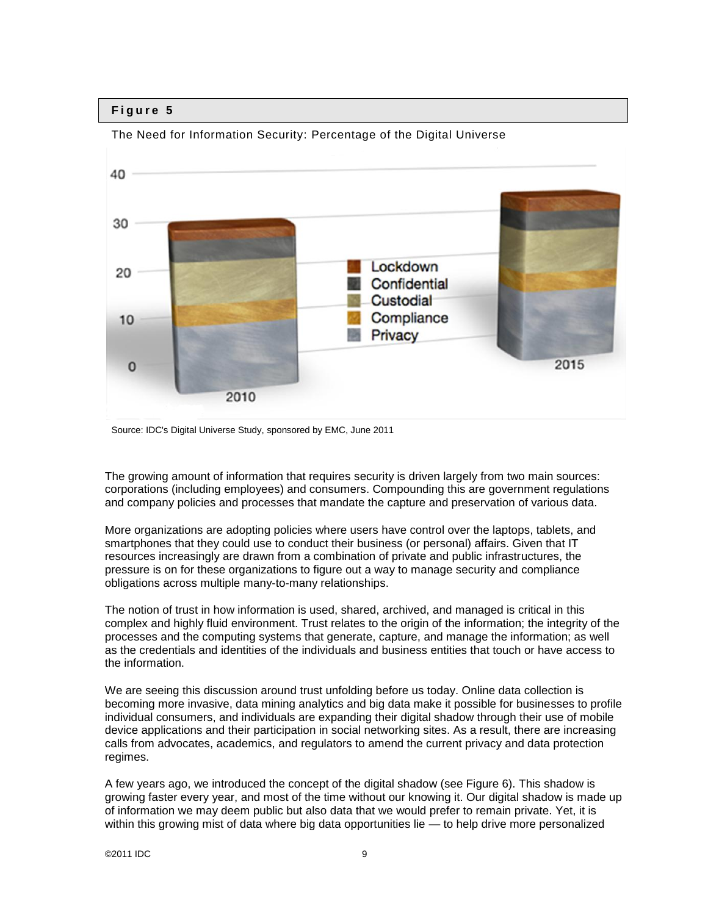

The Need for Information Security: Percentage of the Digital Universe

The growing amount of information that requires security is driven largely from two main sources: corporations (including employees) and consumers. Compounding this are government regulations and company policies and processes that mandate the capture and preservation of various data.

More organizations are adopting policies where users have control over the laptops, tablets, and smartphones that they could use to conduct their business (or personal) affairs. Given that IT resources increasingly are drawn from a combination of private and public infrastructures, the pressure is on for these organizations to figure out a way to manage security and compliance obligations across multiple many-to-many relationships.

The notion of trust in how information is used, shared, archived, and managed is critical in this complex and highly fluid environment. Trust relates to the origin of the information; the integrity of the processes and the computing systems that generate, capture, and manage the information; as well as the credentials and identities of the individuals and business entities that touch or have access to the information.

We are seeing this discussion around trust unfolding before us today. Online data collection is becoming more invasive, data mining analytics and big data make it possible for businesses to profile individual consumers, and individuals are expanding their digital shadow through their use of mobile device applications and their participation in social networking sites. As a result, there are increasing calls from advocates, academics, and regulators to amend the current privacy and data protection regimes.

A few years ago, we introduced the concept of the digital shadow (see Figure 6). This shadow is growing faster every year, and most of the time without our knowing it. Our digital shadow is made up of information we may deem public but also data that we would prefer to remain private. Yet, it is within this growing mist of data where big data opportunities lie — to help drive more personalized

Source: IDC's Digital Universe Study, sponsored by EMC, June 2011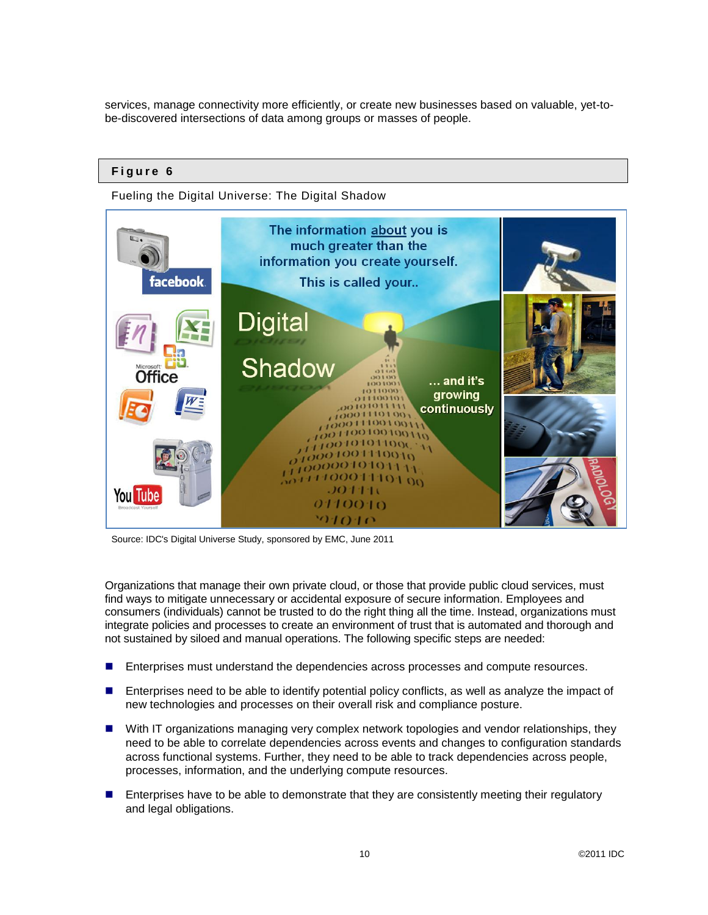services, manage connectivity more efficiently, or create new businesses based on valuable, yet-tobe-discovered intersections of data among groups or masses of people.

## **F i g u r e 6**

Fueling the Digital Universe: The Digital Shadow



Source: IDC's Digital Universe Study, sponsored by EMC, June 2011

Organizations that manage their own private cloud, or those that provide public cloud services, must find ways to mitigate unnecessary or accidental exposure of secure information. Employees and consumers (individuals) cannot be trusted to do the right thing all the time. Instead, organizations must integrate policies and processes to create an environment of trust that is automated and thorough and not sustained by siloed and manual operations. The following specific steps are needed:

- **Enterprises must understand the dependencies across processes and compute resources.**
- **Enterprises need to be able to identify potential policy conflicts, as well as analyze the impact of** new technologies and processes on their overall risk and compliance posture.
- With IT organizations managing very complex network topologies and vendor relationships, they need to be able to correlate dependencies across events and changes to configuration standards across functional systems. Further, they need to be able to track dependencies across people, processes, information, and the underlying compute resources.
- Enterprises have to be able to demonstrate that they are consistently meeting their regulatory and legal obligations.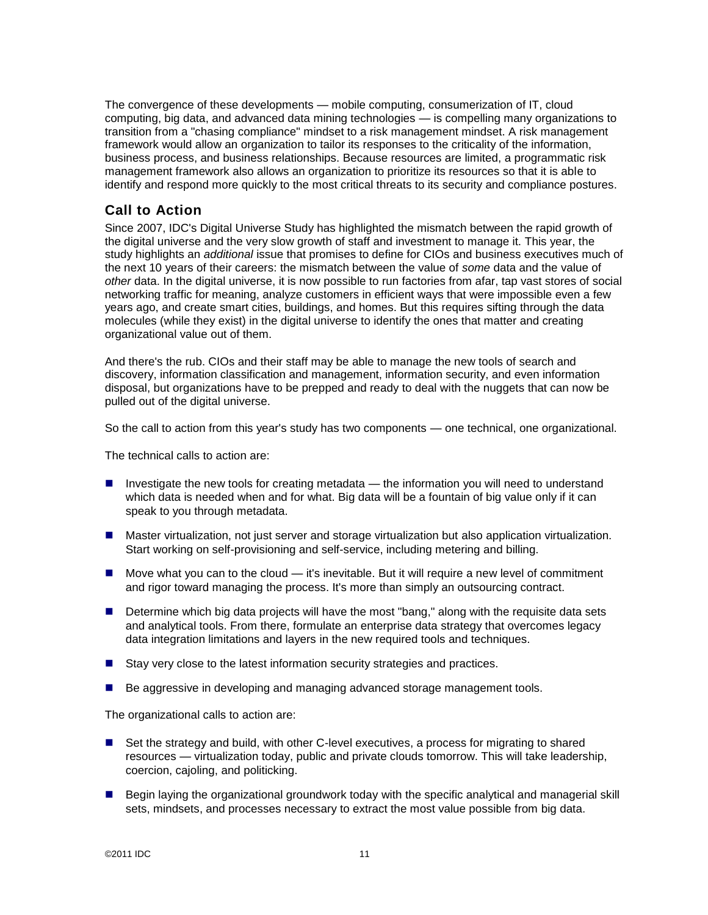The convergence of these developments — mobile computing, consumerization of IT, cloud computing, big data, and advanced data mining technologies — is compelling many organizations to transition from a "chasing compliance" mindset to a risk management mindset. A risk management framework would allow an organization to tailor its responses to the criticality of the information, business process, and business relationships. Because resources are limited, a programmatic risk management framework also allows an organization to prioritize its resources so that it is able to identify and respond more quickly to the most critical threats to its security and compliance postures.

## **Call to Action**

Since 2007, IDC's Digital Universe Study has highlighted the mismatch between the rapid growth of the digital universe and the very slow growth of staff and investment to manage it. This year, the study highlights an *additional* issue that promises to define for CIOs and business executives much of the next 10 years of their careers: the mismatch between the value of *some* data and the value of *other* data. In the digital universe, it is now possible to run factories from afar, tap vast stores of social networking traffic for meaning, analyze customers in efficient ways that were impossible even a few years ago, and create smart cities, buildings, and homes. But this requires sifting through the data molecules (while they exist) in the digital universe to identify the ones that matter and creating organizational value out of them.

And there's the rub. CIOs and their staff may be able to manage the new tools of search and discovery, information classification and management, information security, and even information disposal, but organizations have to be prepped and ready to deal with the nuggets that can now be pulled out of the digital universe.

So the call to action from this year's study has two components — one technical, one organizational.

The technical calls to action are:

- Investigate the new tools for creating metadata the information you will need to understand which data is needed when and for what. Big data will be a fountain of big value only if it can speak to you through metadata.
- **Master virtualization, not just server and storage virtualization but also application virtualization.** Start working on self-provisioning and self-service, including metering and billing.
- $\blacksquare$  Move what you can to the cloud  $-$  it's inevitable. But it will require a new level of commitment and rigor toward managing the process. It's more than simply an outsourcing contract.
- Determine which big data projects will have the most "bang," along with the requisite data sets and analytical tools. From there, formulate an enterprise data strategy that overcomes legacy data integration limitations and layers in the new required tools and techniques.
- Stay very close to the latest information security strategies and practices.
- Be aggressive in developing and managing advanced storage management tools.

The organizational calls to action are:

- Set the strategy and build, with other C-level executives, a process for migrating to shared resources — virtualization today, public and private clouds tomorrow. This will take leadership, coercion, cajoling, and politicking.
- **Begin laying the organizational groundwork today with the specific analytical and managerial skill** sets, mindsets, and processes necessary to extract the most value possible from big data.